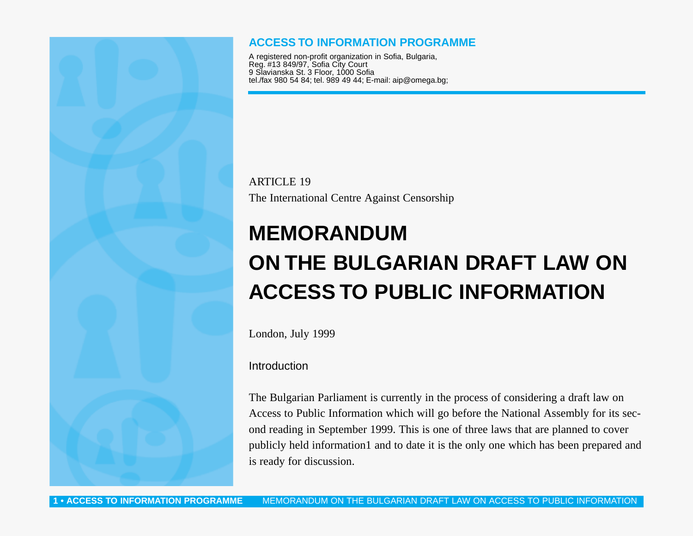

## **ACCESS TO INFORMATION PROGRAMME**

A registered non-profit organization in Sofia, Bulgaria, Reg. #13 849/97, Sofia City Court 9 Slavianska St. 3 Floor, 1000 Sofia tel./fax 980 54 84; tel. 989 49 44; E-mail: aip@omega.bg;

ARTICLE 19 The International Centre Against Censorship

# **MEMORANDUM ON THE BULGARIAN DRAFT LAW ON ACCESS TO PUBLIC INFORMATION**

London, July 1999

Introduction

The Bulgarian Parliament is currently in the process of considering a draft law on Access to Public Information which will go before the National Assembly for its second reading in September 1999. This is one of three laws that are planned to cover publicly held information1 and to date it is the only one which has been prepared and is ready for discussion.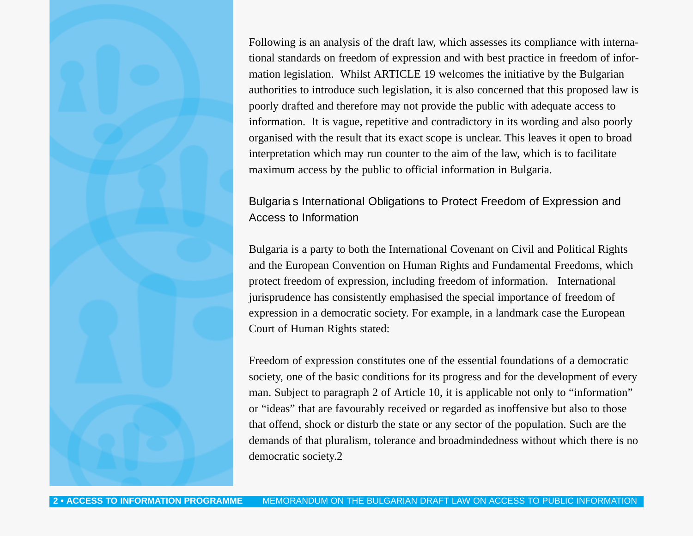Following is an analysis of the draft law, which assesses its compliance with international standards on freedom of expression and with best practice in freedom of information legislation. Whilst ARTICLE 19 welcomes the initiative by the Bulgarian authorities to introduce such legislation, it is also concerned that this proposed law is poorly drafted and therefore may not provide the public with adequate access to information. It is vague, repetitive and contradictory in its wording and also poorly organised with the result that its exact scope is unclear. This leaves it open to broad interpretation which may run counter to the aim of the law, which is to facilitate maximum access by the public to official information in Bulgaria.

# Bulgaria s International Obligations to Protect Freedom of Expression and Access to Information

Bulgaria is a party to both the International Covenant on Civil and Political Rights and the European Convention on Human Rights and Fundamental Freedoms, which protect freedom of expression, including freedom of information. International jurisprudence has consistently emphasised the special importance of freedom of expression in a democratic society. For example, in a landmark case the European Court of Human Rights stated:

Freedom of expression constitutes one of the essential foundations of a democratic society, one of the basic conditions for its progress and for the development of every man. Subject to paragraph 2 of Article 10, it is applicable not only to "information" or "ideas" that are favourably received or regarded as inoffensive but also to those that offend, shock or disturb the state or any sector of the population. Such are the demands of that pluralism, tolerance and broadmindedness without which there is no democratic society.2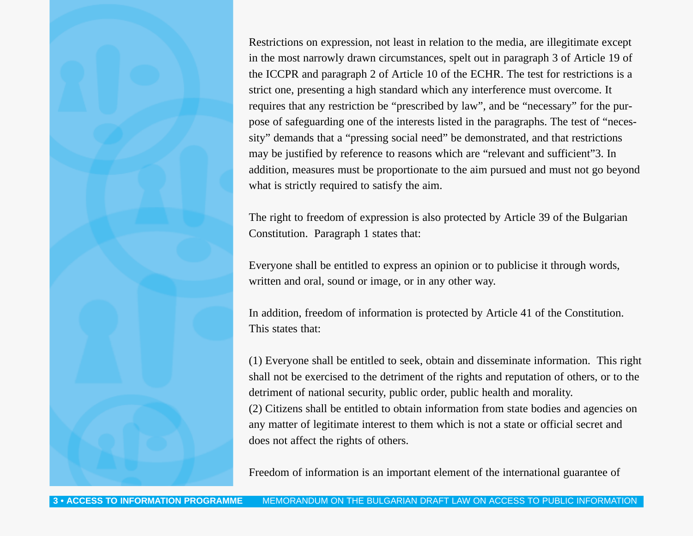Restrictions on expression, not least in relation to the media, are illegitimate except in the most narrowly drawn circumstances, spelt out in paragraph 3 of Article 19 of the ICCPR and paragraph 2 of Article 10 of the ECHR. The test for restrictions is a strict one, presenting a high standard which any interference must overcome. It requires that any restriction be "prescribed by law", and be "necessary" for the purpose of safeguarding one of the interests listed in the paragraphs. The test of "necessity" demands that a "pressing social need" be demonstrated, and that restrictions may be justified by reference to reasons which are "relevant and sufficient"3. In addition, measures must be proportionate to the aim pursued and must not go beyond what is strictly required to satisfy the aim.

The right to freedom of expression is also protected by Article 39 of the Bulgarian Constitution. Paragraph 1 states that:

Everyone shall be entitled to express an opinion or to publicise it through words, written and oral, sound or image, or in any other way.

In addition, freedom of information is protected by Article 41 of the Constitution. This states that:

(1) Everyone shall be entitled to seek, obtain and disseminate information. This right shall not be exercised to the detriment of the rights and reputation of others, or to the detriment of national security, public order, public health and morality. (2) Citizens shall be entitled to obtain information from state bodies and agencies on

any matter of legitimate interest to them which is not a state or official secret and does not affect the rights of others.

Freedom of information is an important element of the international guarantee of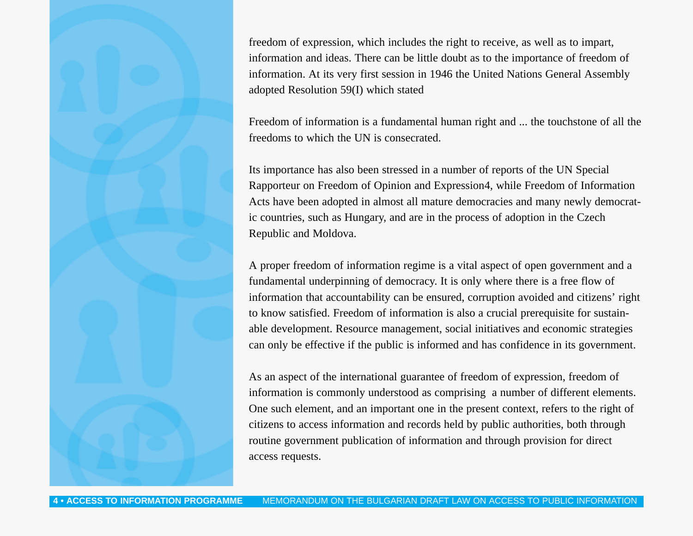freedom of expression, which includes the right to receive, as well as to impart, information and ideas. There can be little doubt as to the importance of freedom of information. At its very first session in 1946 the United Nations General Assembly adopted Resolution 59(I) which stated

Freedom of information is a fundamental human right and ... the touchstone of all the freedoms to which the UN is consecrated.

Its importance has also been stressed in a number of reports of the UN Special Rapporteur on Freedom of Opinion and Expression4, while Freedom of Information Acts have been adopted in almost all mature democracies and many newly democratic countries, such as Hungary, and are in the process of adoption in the Czech Republic and Moldova.

A proper freedom of information regime is a vital aspect of open government and a fundamental underpinning of democracy. It is only where there is a free flow of information that accountability can be ensured, corruption avoided and citizens' right to know satisfied. Freedom of information is also a crucial prerequisite for sustainable development. Resource management, social initiatives and economic strategies can only be effective if the public is informed and has confidence in its government.

As an aspect of the international guarantee of freedom of expression, freedom of information is commonly understood as comprising a number of different elements. One such element, and an important one in the present context, refers to the right of citizens to access information and records held by public authorities, both through routine government publication of information and through provision for direct access requests.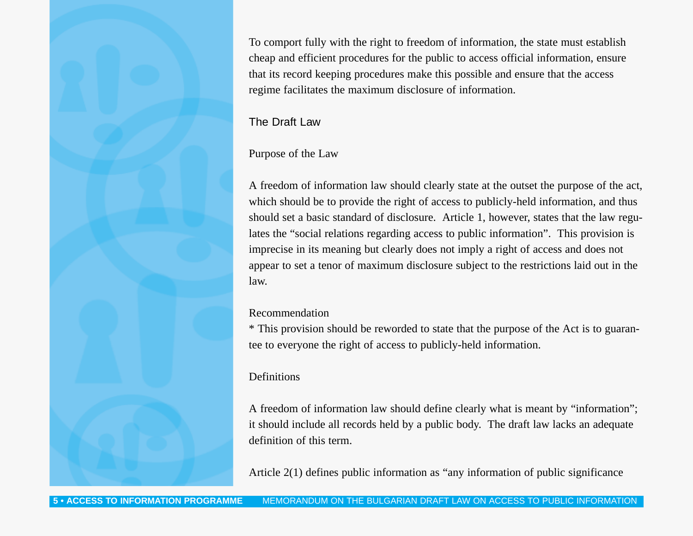To comport fully with the right to freedom of information, the state must establish cheap and efficient procedures for the public to access official information, ensure that its record keeping procedures make this possible and ensure that the access regime facilitates the maximum disclosure of information.

## The Draft Law

## Purpose of the Law

A freedom of information law should clearly state at the outset the purpose of the act, which should be to provide the right of access to publicly-held information, and thus should set a basic standard of disclosure. Article 1, however, states that the law regulates the "social relations regarding access to public information". This provision is imprecise in its meaning but clearly does not imply a right of access and does not appear to set a tenor of maximum disclosure subject to the restrictions laid out in the law.

## Recommendation

\* This provision should be reworded to state that the purpose of the Act is to guarantee to everyone the right of access to publicly-held information.

## Definitions

A freedom of information law should define clearly what is meant by "information"; it should include all records held by a public body. The draft law lacks an adequate definition of this term.

Article 2(1) defines public information as "any information of public significance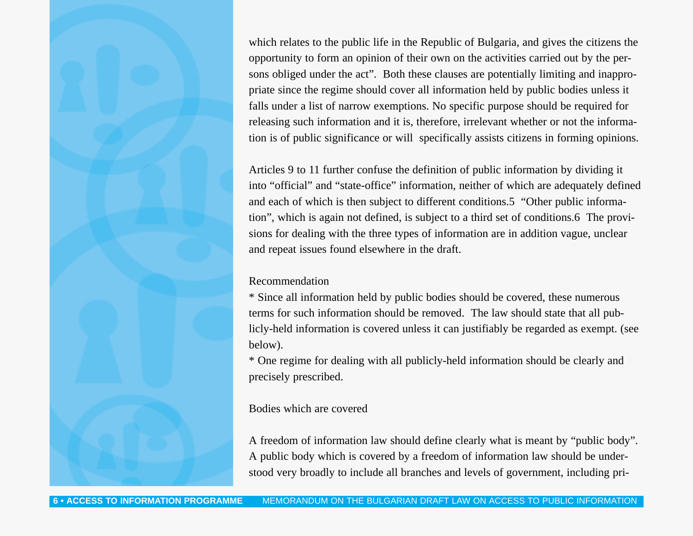which relates to the public life in the Republic of Bulgaria, and gives the citizens the opportunity to form an opinion of their own on the activities carried out by the persons obliged under the act". Both these clauses are potentially limiting and inappropriate since the regime should cover all information held by public bodies unless it falls under a list of narrow exemptions. No specific purpose should be required for releasing such information and it is, therefore, irrelevant whether or not the information is of public significance or will specifically assists citizens in forming opinions.

Articles 9 to 11 further confuse the definition of public information by dividing it into "official" and "state-office" information, neither of which are adequately defined and each of which is then subject to different conditions.5 "Other public information", which is again not defined, is subject to a third set of conditions.6 The provisions for dealing with the three types of information are in addition vague, unclear and repeat issues found elsewhere in the draft.

#### Recommendation

\* Since all information held by public bodies should be covered, these numerous terms for such information should be removed. The law should state that all publicly-held information is covered unless it can justifiably be regarded as exempt. (see below).

\* One regime for dealing with all publicly-held information should be clearly and precisely prescribed.

#### Bodies which are covered

A freedom of information law should define clearly what is meant by "public body". A public body which is covered by a freedom of information law should be understood very broadly to include all branches and levels of government, including pri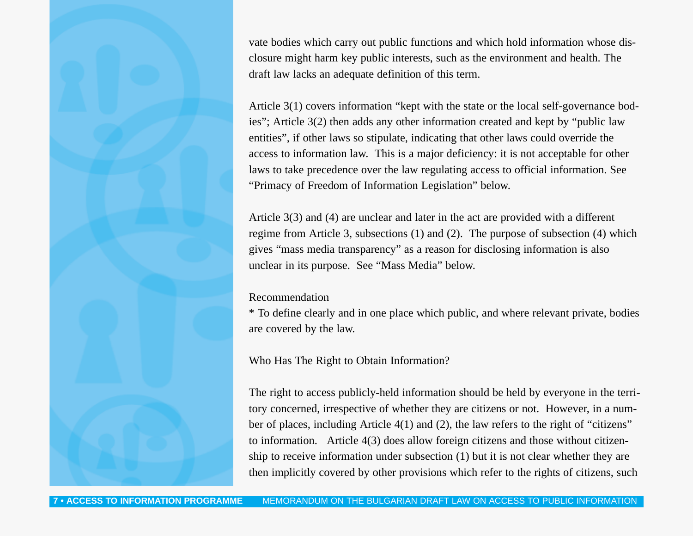vate bodies which carry out public functions and which hold information whose disclosure might harm key public interests, such as the environment and health. The draft law lacks an adequate definition of this term.

Article 3(1) covers information "kept with the state or the local self-governance bodies"; Article 3(2) then adds any other information created and kept by "public law entities", if other laws so stipulate, indicating that other laws could override the access to information law. This is a major deficiency: it is not acceptable for other laws to take precedence over the law regulating access to official information. See "Primacy of Freedom of Information Legislation" below.

Article 3(3) and (4) are unclear and later in the act are provided with a different regime from Article 3, subsections (1) and (2). The purpose of subsection (4) which gives "mass media transparency" as a reason for disclosing information is also unclear in its purpose. See "Mass Media" below.

### Recommendation

\* To define clearly and in one place which public, and where relevant private, bodies are covered by the law.

Who Has The Right to Obtain Information?

The right to access publicly-held information should be held by everyone in the territory concerned, irrespective of whether they are citizens or not. However, in a number of places, including Article 4(1) and (2), the law refers to the right of "citizens" to information. Article 4(3) does allow foreign citizens and those without citizenship to receive information under subsection (1) but it is not clear whether they are then implicitly covered by other provisions which refer to the rights of citizens, such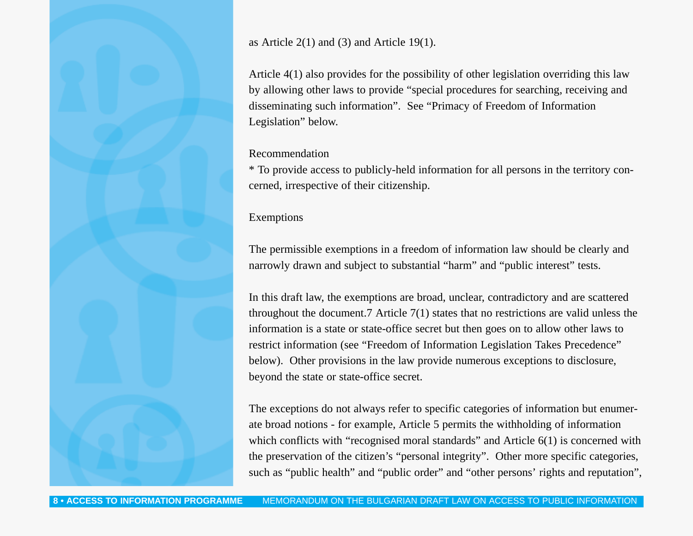as Article  $2(1)$  and  $(3)$  and Article 19(1).

Article 4(1) also provides for the possibility of other legislation overriding this law by allowing other laws to provide "special procedures for searching, receiving and disseminating such information". See "Primacy of Freedom of Information Legislation" below.

## Recommendation

\* To provide access to publicly-held information for all persons in the territory concerned, irrespective of their citizenship.

## Exemptions

The permissible exemptions in a freedom of information law should be clearly and narrowly drawn and subject to substantial "harm" and "public interest" tests.

In this draft law, the exemptions are broad, unclear, contradictory and are scattered throughout the document.7 Article 7(1) states that no restrictions are valid unless the information is a state or state-office secret but then goes on to allow other laws to restrict information (see "Freedom of Information Legislation Takes Precedence" below). Other provisions in the law provide numerous exceptions to disclosure, beyond the state or state-office secret.

The exceptions do not always refer to specific categories of information but enumerate broad notions - for example, Article 5 permits the withholding of information which conflicts with "recognised moral standards" and Article 6(1) is concerned with the preservation of the citizen's "personal integrity". Other more specific categories, such as "public health" and "public order" and "other persons' rights and reputation",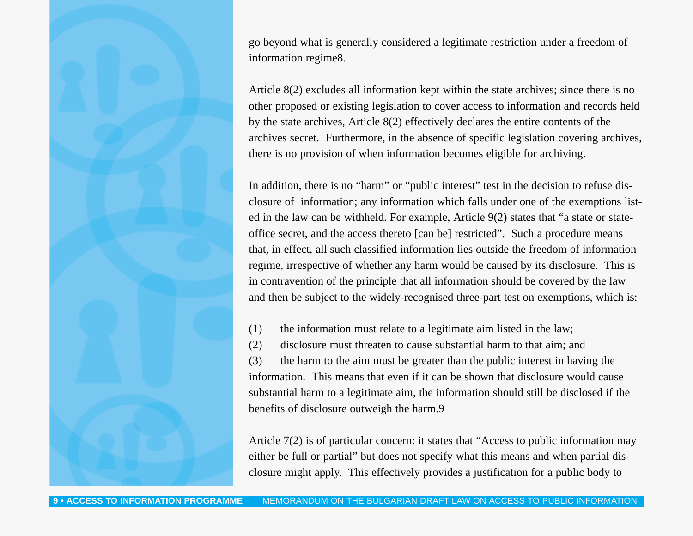go beyond what is generally considered a legitimate restriction under a freedom of information regime8.

Article 8(2) excludes all information kept within the state archives; since there is no other proposed or existing legislation to cover access to information and records held by the state archives, Article 8(2) effectively declares the entire contents of the archives secret. Furthermore, in the absence of specific legislation covering archives, there is no provision of when information becomes eligible for archiving.

In addition, there is no "harm" or "public interest" test in the decision to refuse disclosure of information; any information which falls under one of the exemptions listed in the law can be withheld. For example, Article 9(2) states that "a state or stateoffice secret, and the access thereto [can be] restricted". Such a procedure means that, in effect, all such classified information lies outside the freedom of information regime, irrespective of whether any harm would be caused by its disclosure. This is in contravention of the principle that all information should be covered by the law and then be subject to the widely-recognised three-part test on exemptions, which is:

(1) the information must relate to a legitimate aim listed in the law;

(2) disclosure must threaten to cause substantial harm to that aim; and

(3) the harm to the aim must be greater than the public interest in having the information. This means that even if it can be shown that disclosure would cause substantial harm to a legitimate aim, the information should still be disclosed if the benefits of disclosure outweigh the harm.9

Article 7(2) is of particular concern: it states that "Access to public information may either be full or partial" but does not specify what this means and when partial disclosure might apply. This effectively provides a justification for a public body to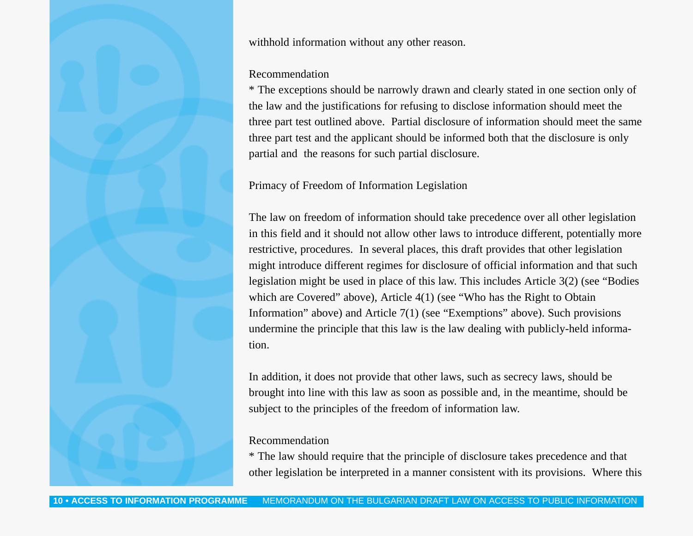withhold information without any other reason.

#### Recommendation

\* The exceptions should be narrowly drawn and clearly stated in one section only of the law and the justifications for refusing to disclose information should meet the three part test outlined above. Partial disclosure of information should meet the same three part test and the applicant should be informed both that the disclosure is only partial and the reasons for such partial disclosure.

## Primacy of Freedom of Information Legislation

The law on freedom of information should take precedence over all other legislation in this field and it should not allow other laws to introduce different, potentially more restrictive, procedures. In several places, this draft provides that other legislation might introduce different regimes for disclosure of official information and that such legislation might be used in place of this law. This includes Article 3(2) (see "Bodies which are Covered" above), Article 4(1) (see "Who has the Right to Obtain Information" above) and Article 7(1) (see "Exemptions" above). Such provisions undermine the principle that this law is the law dealing with publicly-held information.

In addition, it does not provide that other laws, such as secrecy laws, should be brought into line with this law as soon as possible and, in the meantime, should be subject to the principles of the freedom of information law.

## Recommendation

\* The law should require that the principle of disclosure takes precedence and that other legislation be interpreted in a manner consistent with its provisions. Where this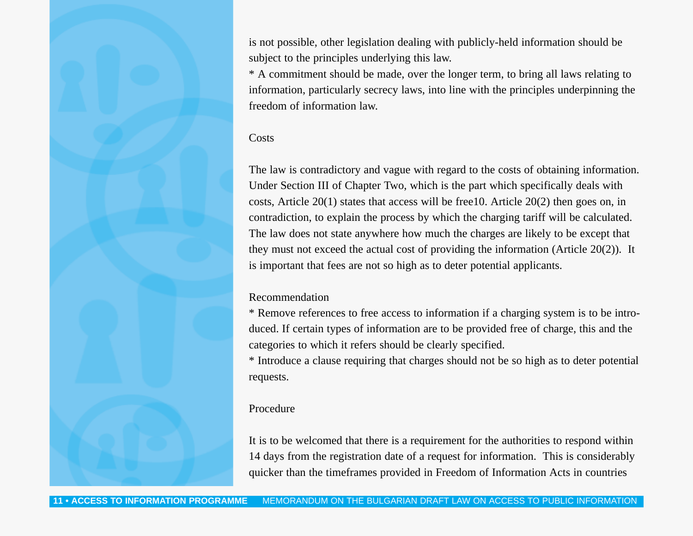is not possible, other legislation dealing with publicly-held information should be subject to the principles underlying this law.

\* A commitment should be made, over the longer term, to bring all laws relating to information, particularly secrecy laws, into line with the principles underpinning the freedom of information law.

## Costs

The law is contradictory and vague with regard to the costs of obtaining information. Under Section III of Chapter Two, which is the part which specifically deals with costs, Article 20(1) states that access will be free10. Article 20(2) then goes on, in contradiction, to explain the process by which the charging tariff will be calculated. The law does not state anywhere how much the charges are likely to be except that they must not exceed the actual cost of providing the information (Article 20(2)). It is important that fees are not so high as to deter potential applicants.

#### Recommendation

\* Remove references to free access to information if a charging system is to be introduced. If certain types of information are to be provided free of charge, this and the categories to which it refers should be clearly specified.

\* Introduce a clause requiring that charges should not be so high as to deter potential requests.

#### Procedure

It is to be welcomed that there is a requirement for the authorities to respond within 14 days from the registration date of a request for information. This is considerably quicker than the timeframes provided in Freedom of Information Acts in countries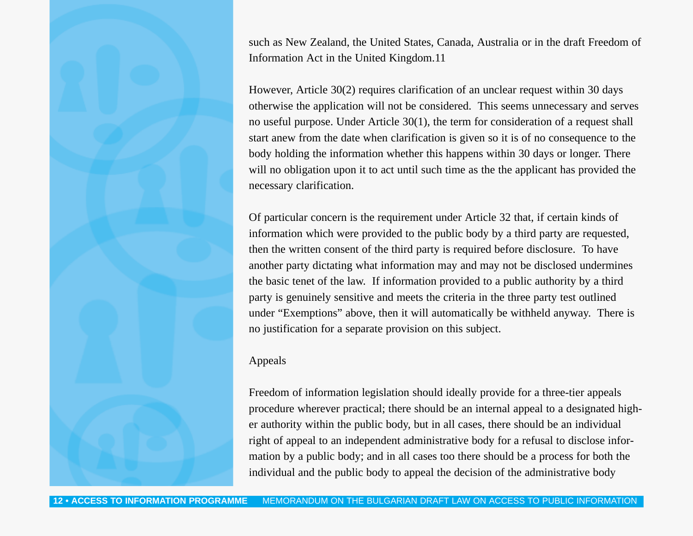such as New Zealand, the United States, Canada, Australia or in the draft Freedom of Information Act in the United Kingdom.11

However, Article 30(2) requires clarification of an unclear request within 30 days otherwise the application will not be considered. This seems unnecessary and serves no useful purpose. Under Article 30(1), the term for consideration of a request shall start anew from the date when clarification is given so it is of no consequence to the body holding the information whether this happens within 30 days or longer. There will no obligation upon it to act until such time as the the applicant has provided the necessary clarification.

Of particular concern is the requirement under Article 32 that, if certain kinds of information which were provided to the public body by a third party are requested, then the written consent of the third party is required before disclosure. To have another party dictating what information may and may not be disclosed undermines the basic tenet of the law. If information provided to a public authority by a third party is genuinely sensitive and meets the criteria in the three party test outlined under "Exemptions" above, then it will automatically be withheld anyway. There is no justification for a separate provision on this subject.

## Appeals

Freedom of information legislation should ideally provide for a three-tier appeals procedure wherever practical; there should be an internal appeal to a designated higher authority within the public body, but in all cases, there should be an individual right of appeal to an independent administrative body for a refusal to disclose information by a public body; and in all cases too there should be a process for both the individual and the public body to appeal the decision of the administrative body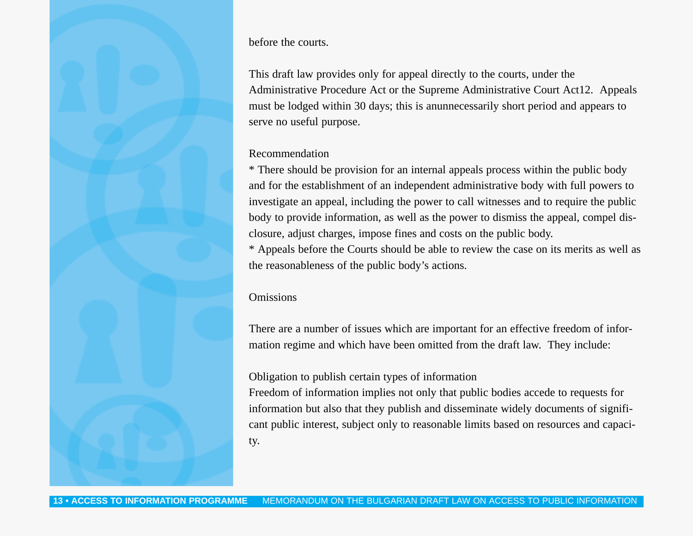before the courts.

This draft law provides only for appeal directly to the courts, under the Administrative Procedure Act or the Supreme Administrative Court Act12. Appeals must be lodged within 30 days; this is anunnecessarily short period and appears to serve no useful purpose.

#### Recommendation

\* There should be provision for an internal appeals process within the public body and for the establishment of an independent administrative body with full powers to investigate an appeal, including the power to call witnesses and to require the public body to provide information, as well as the power to dismiss the appeal, compel disclosure, adjust charges, impose fines and costs on the public body.

\* Appeals before the Courts should be able to review the case on its merits as well as the reasonableness of the public body's actions.

## Omissions

There are a number of issues which are important for an effective freedom of information regime and which have been omitted from the draft law. They include:

## Obligation to publish certain types of information

Freedom of information implies not only that public bodies accede to requests for information but also that they publish and disseminate widely documents of significant public interest, subject only to reasonable limits based on resources and capacity.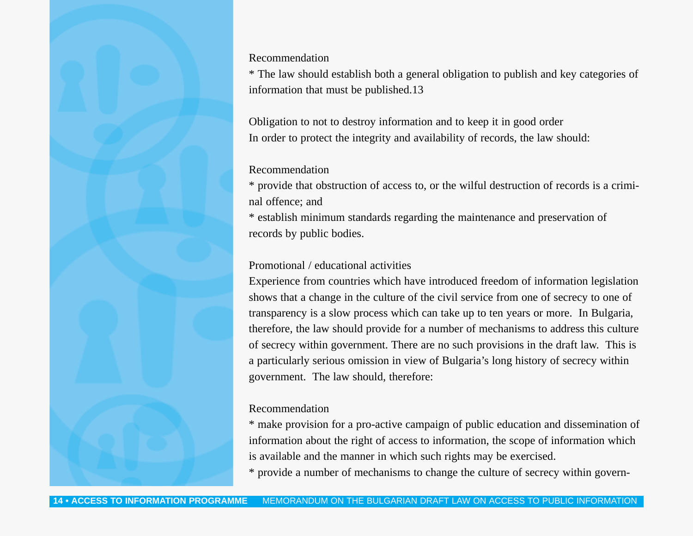Recommendation

\* The law should establish both a general obligation to publish and key categories of information that must be published.13

Obligation to not to destroy information and to keep it in good order In order to protect the integrity and availability of records, the law should:

#### Recommendation

\* provide that obstruction of access to, or the wilful destruction of records is a criminal offence; and

\* establish minimum standards regarding the maintenance and preservation of records by public bodies.

## Promotional / educational activities

Experience from countries which have introduced freedom of information legislation shows that a change in the culture of the civil service from one of secrecy to one of transparency is a slow process which can take up to ten years or more. In Bulgaria, therefore, the law should provide for a number of mechanisms to address this culture of secrecy within government. There are no such provisions in the draft law. This is a particularly serious omission in view of Bulgaria's long history of secrecy within government. The law should, therefore:

#### Recommendation

\* make provision for a pro-active campaign of public education and dissemination of information about the right of access to information, the scope of information which is available and the manner in which such rights may be exercised.

\* provide a number of mechanisms to change the culture of secrecy within govern-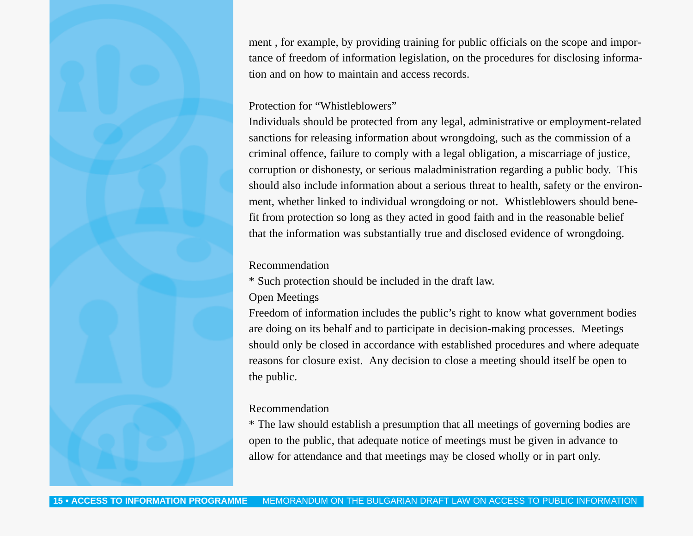ment , for example, by providing training for public officials on the scope and importance of freedom of information legislation, on the procedures for disclosing information and on how to maintain and access records.

## Protection for "Whistleblowers"

Individuals should be protected from any legal, administrative or employment-related sanctions for releasing information about wrongdoing, such as the commission of a criminal offence, failure to comply with a legal obligation, a miscarriage of justice, corruption or dishonesty, or serious maladministration regarding a public body. This should also include information about a serious threat to health, safety or the environment, whether linked to individual wrongdoing or not. Whistleblowers should benefit from protection so long as they acted in good faith and in the reasonable belief that the information was substantially true and disclosed evidence of wrongdoing.

## Recommendation

\* Such protection should be included in the draft law.

## Open Meetings

Freedom of information includes the public's right to know what government bodies are doing on its behalf and to participate in decision-making processes. Meetings should only be closed in accordance with established procedures and where adequate reasons for closure exist. Any decision to close a meeting should itself be open to the public.

#### Recommendation

\* The law should establish a presumption that all meetings of governing bodies are open to the public, that adequate notice of meetings must be given in advance to allow for attendance and that meetings may be closed wholly or in part only.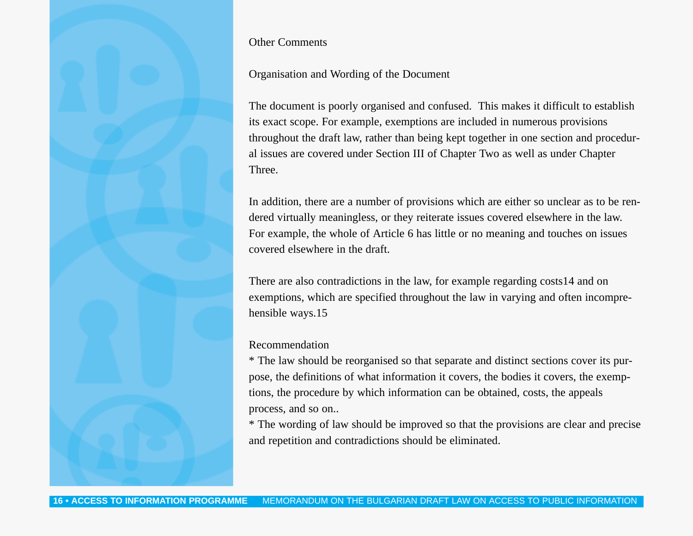Other Comments

#### Organisation and Wording of the Document

The document is poorly organised and confused. This makes it difficult to establish its exact scope. For example, exemptions are included in numerous provisions throughout the draft law, rather than being kept together in one section and procedural issues are covered under Section III of Chapter Two as well as under Chapter Three.

In addition, there are a number of provisions which are either so unclear as to be rendered virtually meaningless, or they reiterate issues covered elsewhere in the law. For example, the whole of Article 6 has little or no meaning and touches on issues covered elsewhere in the draft.

There are also contradictions in the law, for example regarding costs14 and on exemptions, which are specified throughout the law in varying and often incomprehensible ways.15

#### Recommendation

\* The law should be reorganised so that separate and distinct sections cover its purpose, the definitions of what information it covers, the bodies it covers, the exemptions, the procedure by which information can be obtained, costs, the appeals process, and so on..

\* The wording of law should be improved so that the provisions are clear and precise and repetition and contradictions should be eliminated.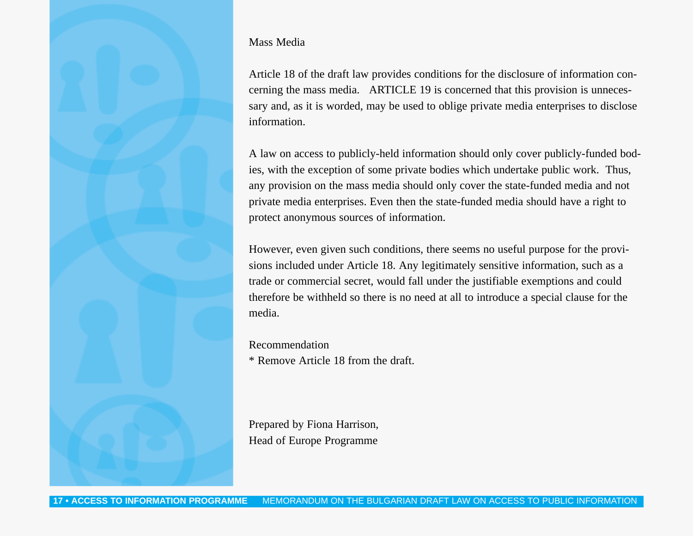## Mass Media

Article 18 of the draft law provides conditions for the disclosure of information concerning the mass media. ARTICLE 19 is concerned that this provision is unnecessary and, as it is worded, may be used to oblige private media enterprises to disclose information.

A law on access to publicly-held information should only cover publicly-funded bodies, with the exception of some private bodies which undertake public work. Thus, any provision on the mass media should only cover the state-funded media and not private media enterprises. Even then the state-funded media should have a right to protect anonymous sources of information.

However, even given such conditions, there seems no useful purpose for the provisions included under Article 18. Any legitimately sensitive information, such as a trade or commercial secret, would fall under the justifiable exemptions and could therefore be withheld so there is no need at all to introduce a special clause for the media.

Recommendation \* Remove Article 18 from the draft.

Prepared by Fiona Harrison, Head of Europe Programme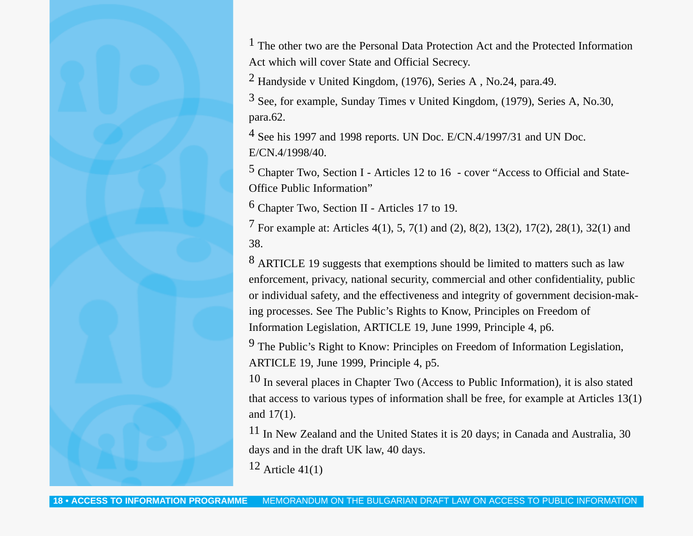1 The other two are the Personal Data Protection Act and the Protected Information Act which will cover State and Official Secrecy.

2 Handyside v United Kingdom, (1976), Series A , No.24, para.49.

3 See, for example, Sunday Times v United Kingdom, (1979), Series A, No.30, para.62.

4 See his 1997 and 1998 reports. UN Doc. E/CN.4/1997/31 and UN Doc. E/CN.4/1998/40.

5 Chapter Two, Section I - Articles 12 to 16 - cover "Access to Official and State-Office Public Information"

6 Chapter Two, Section II - Articles 17 to 19.

7 For example at: Articles 4(1), 5, 7(1) and (2), 8(2), 13(2), 17(2), 28(1), 32(1) and 38.

8 ARTICLE 19 suggests that exemptions should be limited to matters such as law enforcement, privacy, national security, commercial and other confidentiality, public or individual safety, and the effectiveness and integrity of government decision-making processes. See The Public's Rights to Know, Principles on Freedom of Information Legislation, ARTICLE 19, June 1999, Principle 4, p6.

9 The Public's Right to Know: Principles on Freedom of Information Legislation, ARTICLE 19, June 1999, Principle 4, p5.

10 In several places in Chapter Two (Access to Public Information), it is also stated that access to various types of information shall be free, for example at Articles 13(1) and 17(1).

11 In New Zealand and the United States it is 20 days; in Canada and Australia, 30 days and in the draft UK law, 40 days.

 $12$  Article 41(1)